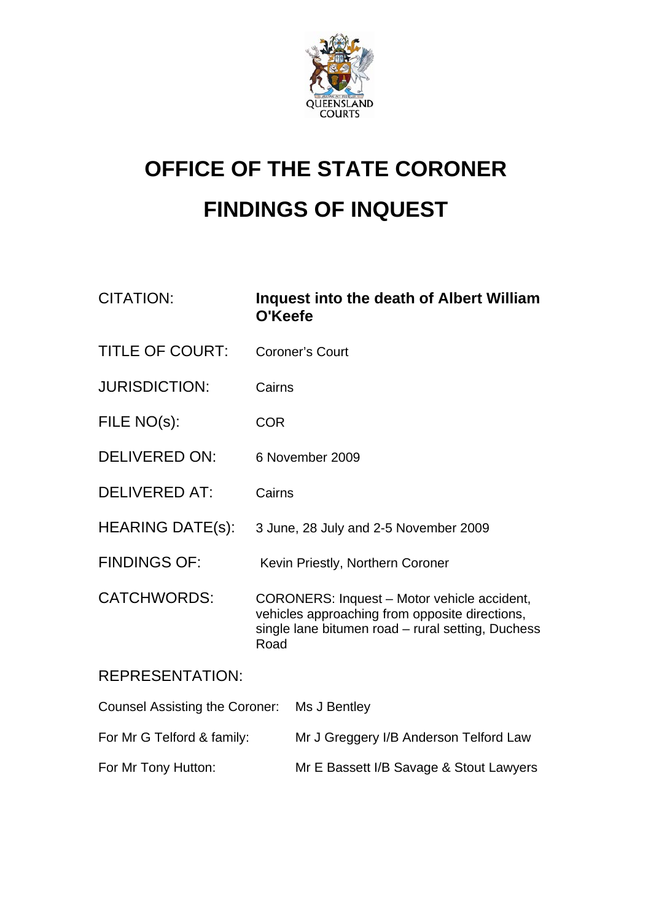

# **OFFICE OF THE STATE CORONER FINDINGS OF INQUEST**

| <b>CITATION:</b>                            | Inquest into the death of Albert William<br>O'Keefe                                                                                                        |                                         |
|---------------------------------------------|------------------------------------------------------------------------------------------------------------------------------------------------------------|-----------------------------------------|
| <b>TITLE OF COURT:</b>                      | <b>Coroner's Court</b>                                                                                                                                     |                                         |
| <b>JURISDICTION:</b>                        | Cairns                                                                                                                                                     |                                         |
| FILE NO(s):                                 | <b>COR</b>                                                                                                                                                 |                                         |
| <b>DELIVERED ON:</b>                        | 6 November 2009                                                                                                                                            |                                         |
| <b>DELIVERED AT:</b>                        | Cairns                                                                                                                                                     |                                         |
| <b>HEARING DATE(s):</b>                     | 3 June, 28 July and 2-5 November 2009                                                                                                                      |                                         |
| <b>FINDINGS OF:</b>                         | Kevin Priestly, Northern Coroner                                                                                                                           |                                         |
| <b>CATCHWORDS:</b>                          | CORONERS: Inquest - Motor vehicle accident,<br>vehicles approaching from opposite directions,<br>single lane bitumen road - rural setting, Duchess<br>Road |                                         |
| <b>REPRESENTATION:</b>                      |                                                                                                                                                            |                                         |
| Counsel Assisting the Coroner: Ms J Bentley |                                                                                                                                                            |                                         |
| For Mr G Telford & family:                  |                                                                                                                                                            | Mr J Greggery I/B Anderson Telford Law  |
| For Mr Tony Hutton:                         |                                                                                                                                                            | Mr E Bassett I/B Savage & Stout Lawyers |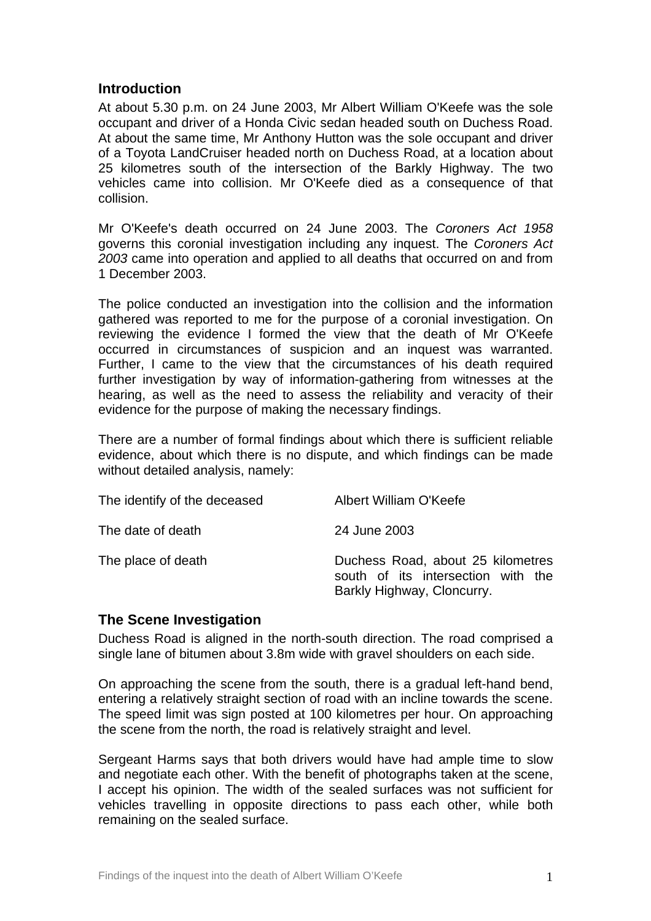## **Introduction**

At about 5.30 p.m. on 24 June 2003, Mr Albert William O'Keefe was the sole occupant and driver of a Honda Civic sedan headed south on Duchess Road. At about the same time, Mr Anthony Hutton was the sole occupant and driver of a Toyota LandCruiser headed north on Duchess Road, at a location about 25 kilometres south of the intersection of the Barkly Highway. The two vehicles came into collision. Mr O'Keefe died as a consequence of that collision.

Mr O'Keefe's death occurred on 24 June 2003. The *Coroners Act 1958*  governs this coronial investigation including any inquest. The *Coroners Act 2003* came into operation and applied to all deaths that occurred on and from 1 December 2003.

The police conducted an investigation into the collision and the information gathered was reported to me for the purpose of a coronial investigation. On reviewing the evidence I formed the view that the death of Mr O'Keefe occurred in circumstances of suspicion and an inquest was warranted. Further, I came to the view that the circumstances of his death required further investigation by way of information-gathering from witnesses at the hearing, as well as the need to assess the reliability and veracity of their evidence for the purpose of making the necessary findings.

There are a number of formal findings about which there is sufficient reliable evidence, about which there is no dispute, and which findings can be made without detailed analysis, namely:

| The identify of the deceased | Albert William O'Keefe                                                                                |
|------------------------------|-------------------------------------------------------------------------------------------------------|
| The date of death            | 24 June 2003                                                                                          |
| The place of death           | Duchess Road, about 25 kilometres<br>south of its intersection with the<br>Barkly Highway, Cloncurry. |

#### **The Scene Investigation**

Duchess Road is aligned in the north-south direction. The road comprised a single lane of bitumen about 3.8m wide with gravel shoulders on each side.

On approaching the scene from the south, there is a gradual left-hand bend, entering a relatively straight section of road with an incline towards the scene. The speed limit was sign posted at 100 kilometres per hour. On approaching the scene from the north, the road is relatively straight and level.

Sergeant Harms says that both drivers would have had ample time to slow and negotiate each other. With the benefit of photographs taken at the scene, I accept his opinion. The width of the sealed surfaces was not sufficient for vehicles travelling in opposite directions to pass each other, while both remaining on the sealed surface.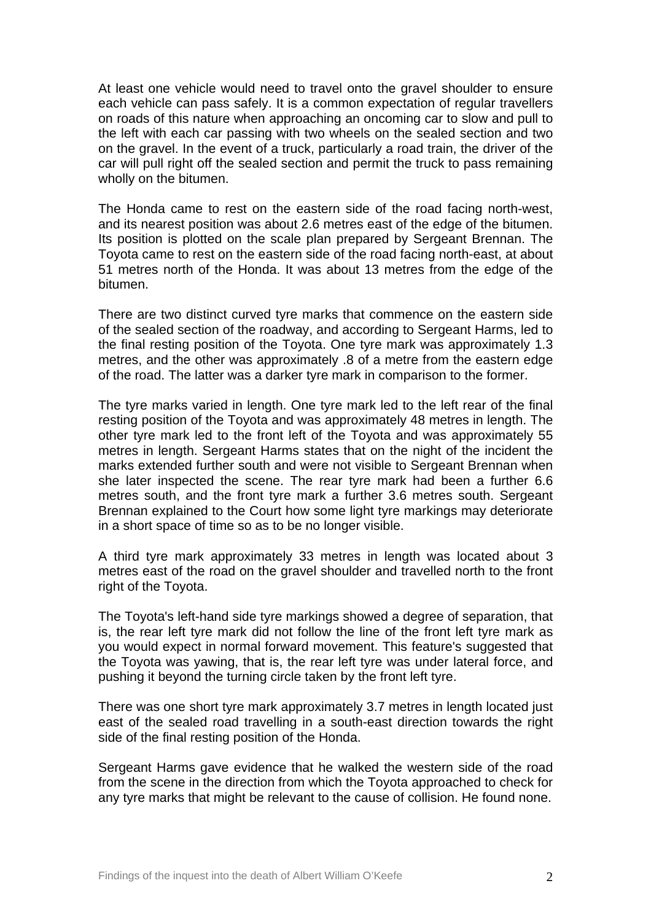At least one vehicle would need to travel onto the gravel shoulder to ensure each vehicle can pass safely. It is a common expectation of regular travellers on roads of this nature when approaching an oncoming car to slow and pull to the left with each car passing with two wheels on the sealed section and two on the gravel. In the event of a truck, particularly a road train, the driver of the car will pull right off the sealed section and permit the truck to pass remaining wholly on the bitumen.

The Honda came to rest on the eastern side of the road facing north-west, and its nearest position was about 2.6 metres east of the edge of the bitumen. Its position is plotted on the scale plan prepared by Sergeant Brennan. The Toyota came to rest on the eastern side of the road facing north-east, at about 51 metres north of the Honda. It was about 13 metres from the edge of the bitumen.

There are two distinct curved tyre marks that commence on the eastern side of the sealed section of the roadway, and according to Sergeant Harms, led to the final resting position of the Toyota. One tyre mark was approximately 1.3 metres, and the other was approximately .8 of a metre from the eastern edge of the road. The latter was a darker tyre mark in comparison to the former.

The tyre marks varied in length. One tyre mark led to the left rear of the final resting position of the Toyota and was approximately 48 metres in length. The other tyre mark led to the front left of the Toyota and was approximately 55 metres in length. Sergeant Harms states that on the night of the incident the marks extended further south and were not visible to Sergeant Brennan when she later inspected the scene. The rear tyre mark had been a further 6.6 metres south, and the front tyre mark a further 3.6 metres south. Sergeant Brennan explained to the Court how some light tyre markings may deteriorate in a short space of time so as to be no longer visible.

A third tyre mark approximately 33 metres in length was located about 3 metres east of the road on the gravel shoulder and travelled north to the front right of the Toyota.

The Toyota's left-hand side tyre markings showed a degree of separation, that is, the rear left tyre mark did not follow the line of the front left tyre mark as you would expect in normal forward movement. This feature's suggested that the Toyota was yawing, that is, the rear left tyre was under lateral force, and pushing it beyond the turning circle taken by the front left tyre.

There was one short tyre mark approximately 3.7 metres in length located just east of the sealed road travelling in a south-east direction towards the right side of the final resting position of the Honda.

Sergeant Harms gave evidence that he walked the western side of the road from the scene in the direction from which the Toyota approached to check for any tyre marks that might be relevant to the cause of collision. He found none.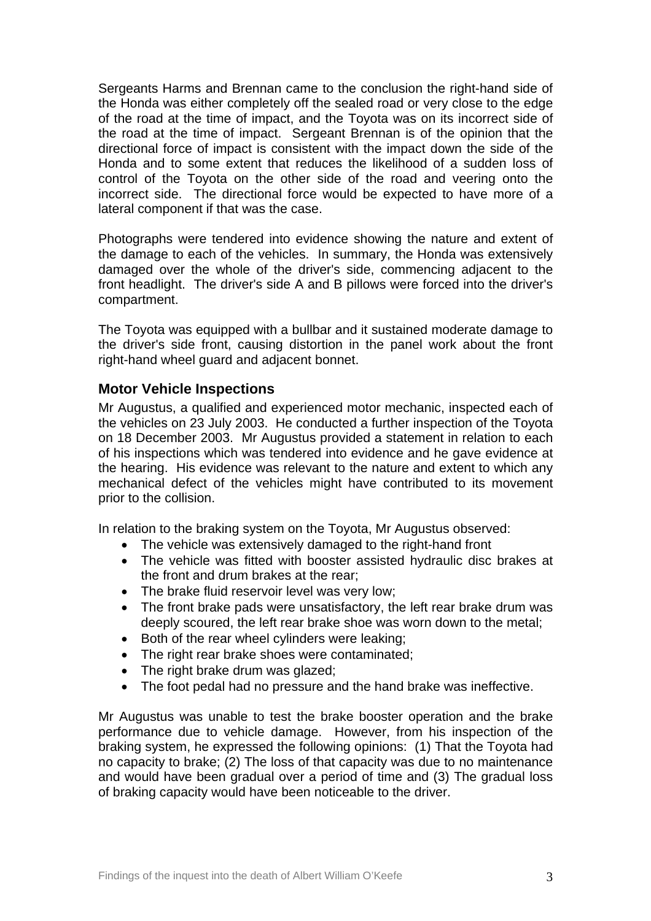Sergeants Harms and Brennan came to the conclusion the right-hand side of the Honda was either completely off the sealed road or very close to the edge of the road at the time of impact, and the Toyota was on its incorrect side of the road at the time of impact. Sergeant Brennan is of the opinion that the directional force of impact is consistent with the impact down the side of the Honda and to some extent that reduces the likelihood of a sudden loss of control of the Toyota on the other side of the road and veering onto the incorrect side. The directional force would be expected to have more of a lateral component if that was the case.

Photographs were tendered into evidence showing the nature and extent of the damage to each of the vehicles. In summary, the Honda was extensively damaged over the whole of the driver's side, commencing adjacent to the front headlight. The driver's side A and B pillows were forced into the driver's compartment.

The Toyota was equipped with a bullbar and it sustained moderate damage to the driver's side front, causing distortion in the panel work about the front right-hand wheel guard and adjacent bonnet.

## **Motor Vehicle Inspections**

Mr Augustus, a qualified and experienced motor mechanic, inspected each of the vehicles on 23 July 2003. He conducted a further inspection of the Toyota on 18 December 2003. Mr Augustus provided a statement in relation to each of his inspections which was tendered into evidence and he gave evidence at the hearing. His evidence was relevant to the nature and extent to which any mechanical defect of the vehicles might have contributed to its movement prior to the collision.

In relation to the braking system on the Toyota, Mr Augustus observed:

- The vehicle was extensively damaged to the right-hand front
- The vehicle was fitted with booster assisted hydraulic disc brakes at the front and drum brakes at the rear;
- The brake fluid reservoir level was very low;
- The front brake pads were unsatisfactory, the left rear brake drum was deeply scoured, the left rear brake shoe was worn down to the metal;
- Both of the rear wheel cylinders were leaking;
- The right rear brake shoes were contaminated;
- The right brake drum was glazed;
- The foot pedal had no pressure and the hand brake was ineffective.

Mr Augustus was unable to test the brake booster operation and the brake performance due to vehicle damage. However, from his inspection of the braking system, he expressed the following opinions: (1) That the Toyota had no capacity to brake; (2) The loss of that capacity was due to no maintenance and would have been gradual over a period of time and (3) The gradual loss of braking capacity would have been noticeable to the driver.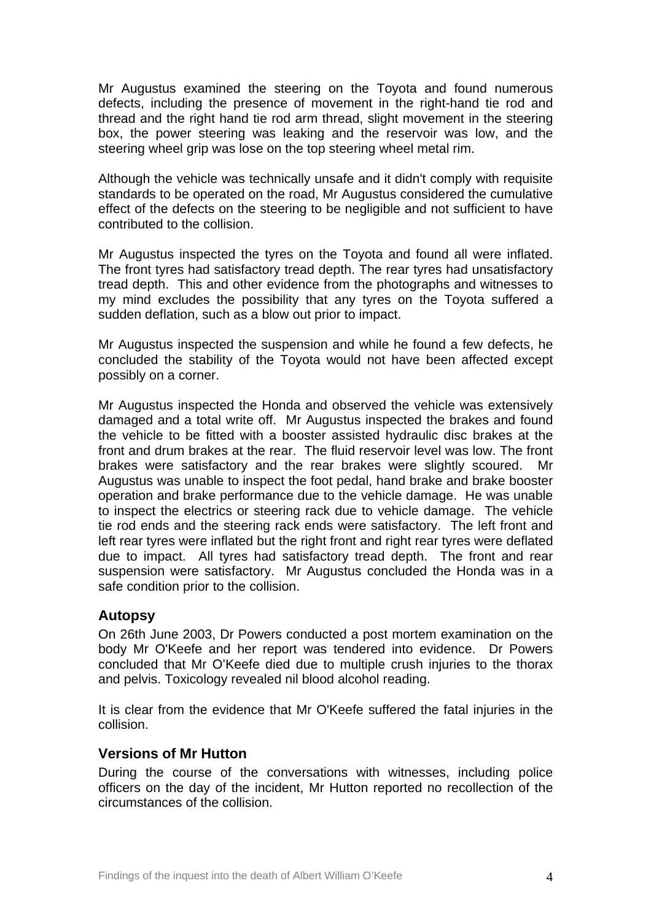Mr Augustus examined the steering on the Toyota and found numerous defects, including the presence of movement in the right-hand tie rod and thread and the right hand tie rod arm thread, slight movement in the steering box, the power steering was leaking and the reservoir was low, and the steering wheel grip was lose on the top steering wheel metal rim.

Although the vehicle was technically unsafe and it didn't comply with requisite standards to be operated on the road, Mr Augustus considered the cumulative effect of the defects on the steering to be negligible and not sufficient to have contributed to the collision.

Mr Augustus inspected the tyres on the Toyota and found all were inflated. The front tyres had satisfactory tread depth. The rear tyres had unsatisfactory tread depth. This and other evidence from the photographs and witnesses to my mind excludes the possibility that any tyres on the Toyota suffered a sudden deflation, such as a blow out prior to impact.

Mr Augustus inspected the suspension and while he found a few defects, he concluded the stability of the Toyota would not have been affected except possibly on a corner.

Mr Augustus inspected the Honda and observed the vehicle was extensively damaged and a total write off. Mr Augustus inspected the brakes and found the vehicle to be fitted with a booster assisted hydraulic disc brakes at the front and drum brakes at the rear. The fluid reservoir level was low. The front brakes were satisfactory and the rear brakes were slightly scoured. Mr Augustus was unable to inspect the foot pedal, hand brake and brake booster operation and brake performance due to the vehicle damage. He was unable to inspect the electrics or steering rack due to vehicle damage. The vehicle tie rod ends and the steering rack ends were satisfactory. The left front and left rear tyres were inflated but the right front and right rear tyres were deflated due to impact. All tyres had satisfactory tread depth. The front and rear suspension were satisfactory. Mr Augustus concluded the Honda was in a safe condition prior to the collision.

## **Autopsy**

On 26th June 2003, Dr Powers conducted a post mortem examination on the body Mr O'Keefe and her report was tendered into evidence. Dr Powers concluded that Mr O'Keefe died due to multiple crush injuries to the thorax and pelvis. Toxicology revealed nil blood alcohol reading.

It is clear from the evidence that Mr O'Keefe suffered the fatal injuries in the collision.

#### **Versions of Mr Hutton**

During the course of the conversations with witnesses, including police officers on the day of the incident, Mr Hutton reported no recollection of the circumstances of the collision.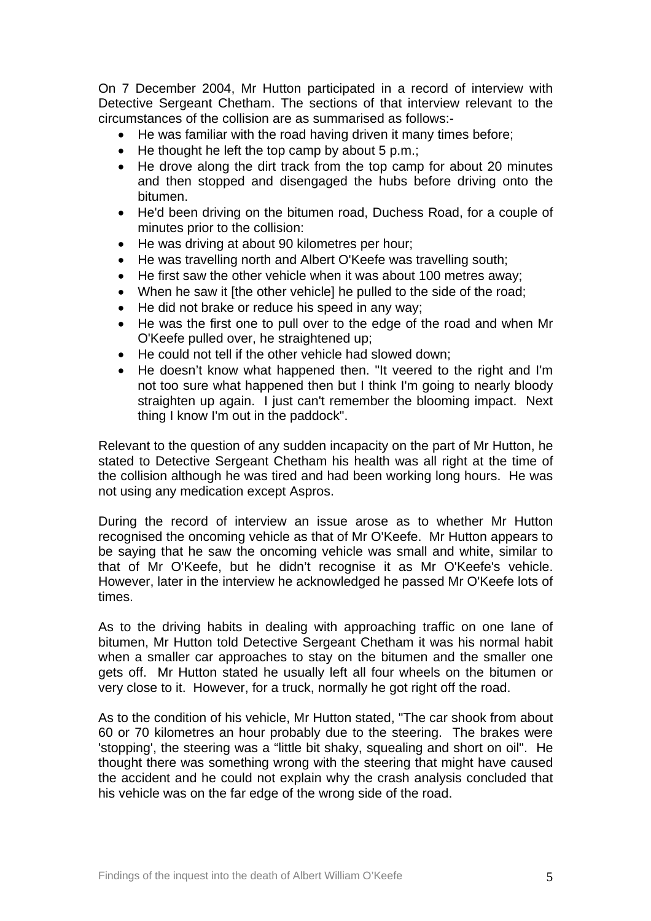On 7 December 2004, Mr Hutton participated in a record of interview with Detective Sergeant Chetham. The sections of that interview relevant to the circumstances of the collision are as summarised as follows:-

- He was familiar with the road having driven it many times before;
- He thought he left the top camp by about 5 p.m.;
- He drove along the dirt track from the top camp for about 20 minutes and then stopped and disengaged the hubs before driving onto the bitumen.
- He'd been driving on the bitumen road, Duchess Road, for a couple of minutes prior to the collision:
- He was driving at about 90 kilometres per hour;
- He was travelling north and Albert O'Keefe was travelling south;
- He first saw the other vehicle when it was about 100 metres away;
- When he saw it [the other vehicle] he pulled to the side of the road;
- He did not brake or reduce his speed in any way;
- He was the first one to pull over to the edge of the road and when Mr O'Keefe pulled over, he straightened up;
- He could not tell if the other vehicle had slowed down;
- He doesn't know what happened then. "It veered to the right and I'm not too sure what happened then but I think I'm going to nearly bloody straighten up again. I just can't remember the blooming impact. Next thing I know I'm out in the paddock".

Relevant to the question of any sudden incapacity on the part of Mr Hutton, he stated to Detective Sergeant Chetham his health was all right at the time of the collision although he was tired and had been working long hours. He was not using any medication except Aspros.

During the record of interview an issue arose as to whether Mr Hutton recognised the oncoming vehicle as that of Mr O'Keefe. Mr Hutton appears to be saying that he saw the oncoming vehicle was small and white, similar to that of Mr O'Keefe, but he didn't recognise it as Mr O'Keefe's vehicle. However, later in the interview he acknowledged he passed Mr O'Keefe lots of times.

As to the driving habits in dealing with approaching traffic on one lane of bitumen, Mr Hutton told Detective Sergeant Chetham it was his normal habit when a smaller car approaches to stay on the bitumen and the smaller one gets off. Mr Hutton stated he usually left all four wheels on the bitumen or very close to it. However, for a truck, normally he got right off the road.

As to the condition of his vehicle, Mr Hutton stated, "The car shook from about 60 or 70 kilometres an hour probably due to the steering. The brakes were 'stopping', the steering was a "little bit shaky, squealing and short on oil". He thought there was something wrong with the steering that might have caused the accident and he could not explain why the crash analysis concluded that his vehicle was on the far edge of the wrong side of the road.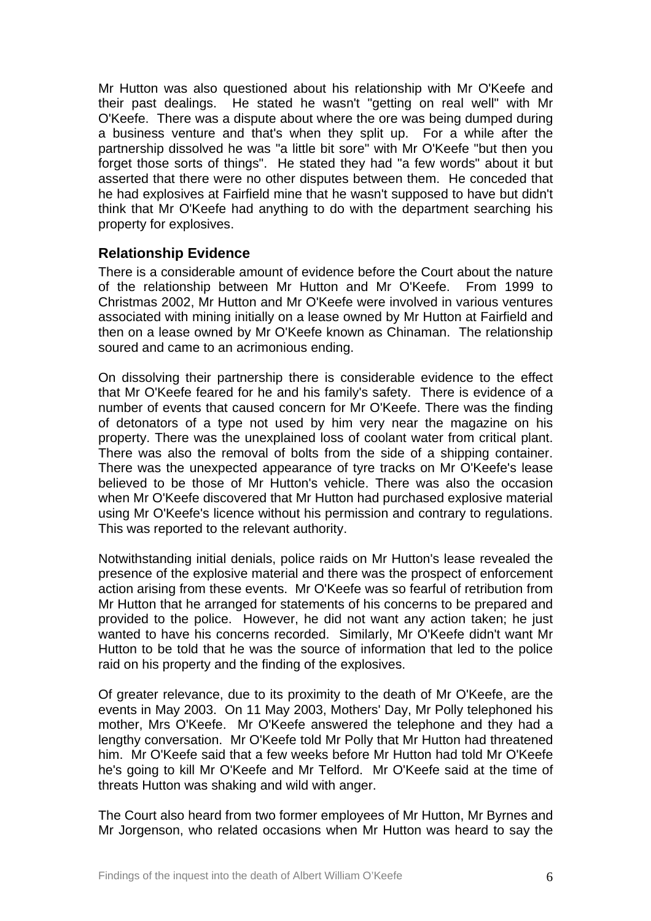Mr Hutton was also questioned about his relationship with Mr O'Keefe and their past dealings. He stated he wasn't "getting on real well" with Mr O'Keefe. There was a dispute about where the ore was being dumped during a business venture and that's when they split up. For a while after the partnership dissolved he was "a little bit sore" with Mr O'Keefe "but then you forget those sorts of things". He stated they had "a few words" about it but asserted that there were no other disputes between them. He conceded that he had explosives at Fairfield mine that he wasn't supposed to have but didn't think that Mr O'Keefe had anything to do with the department searching his property for explosives.

## **Relationship Evidence**

There is a considerable amount of evidence before the Court about the nature of the relationship between Mr Hutton and Mr O'Keefe. From 1999 to Christmas 2002, Mr Hutton and Mr O'Keefe were involved in various ventures associated with mining initially on a lease owned by Mr Hutton at Fairfield and then on a lease owned by Mr O'Keefe known as Chinaman. The relationship soured and came to an acrimonious ending.

On dissolving their partnership there is considerable evidence to the effect that Mr O'Keefe feared for he and his family's safety. There is evidence of a number of events that caused concern for Mr O'Keefe. There was the finding of detonators of a type not used by him very near the magazine on his property. There was the unexplained loss of coolant water from critical plant. There was also the removal of bolts from the side of a shipping container. There was the unexpected appearance of tyre tracks on Mr O'Keefe's lease believed to be those of Mr Hutton's vehicle. There was also the occasion when Mr O'Keefe discovered that Mr Hutton had purchased explosive material using Mr O'Keefe's licence without his permission and contrary to regulations. This was reported to the relevant authority.

Notwithstanding initial denials, police raids on Mr Hutton's lease revealed the presence of the explosive material and there was the prospect of enforcement action arising from these events. Mr O'Keefe was so fearful of retribution from Mr Hutton that he arranged for statements of his concerns to be prepared and provided to the police. However, he did not want any action taken; he just wanted to have his concerns recorded. Similarly, Mr O'Keefe didn't want Mr Hutton to be told that he was the source of information that led to the police raid on his property and the finding of the explosives.

Of greater relevance, due to its proximity to the death of Mr O'Keefe, are the events in May 2003. On 11 May 2003, Mothers' Day, Mr Polly telephoned his mother, Mrs O'Keefe. Mr O'Keefe answered the telephone and they had a lengthy conversation. Mr O'Keefe told Mr Polly that Mr Hutton had threatened him. Mr O'Keefe said that a few weeks before Mr Hutton had told Mr O'Keefe he's going to kill Mr O'Keefe and Mr Telford. Mr O'Keefe said at the time of threats Hutton was shaking and wild with anger.

The Court also heard from two former employees of Mr Hutton, Mr Byrnes and Mr Jorgenson, who related occasions when Mr Hutton was heard to say the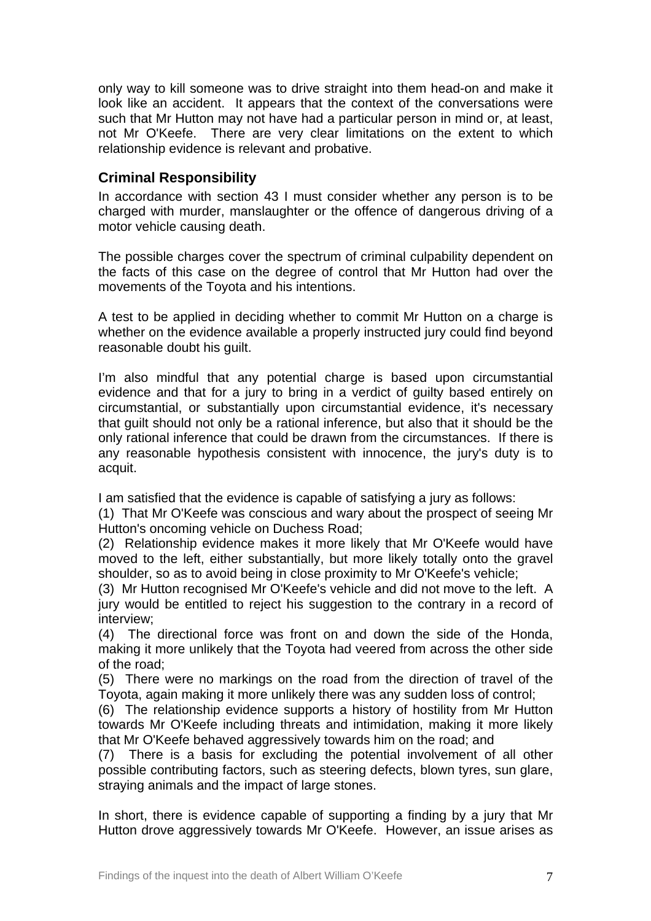only way to kill someone was to drive straight into them head-on and make it look like an accident. It appears that the context of the conversations were such that Mr Hutton may not have had a particular person in mind or, at least, not Mr O'Keefe. There are very clear limitations on the extent to which relationship evidence is relevant and probative.

# **Criminal Responsibility**

In accordance with section 43 I must consider whether any person is to be charged with murder, manslaughter or the offence of dangerous driving of a motor vehicle causing death.

The possible charges cover the spectrum of criminal culpability dependent on the facts of this case on the degree of control that Mr Hutton had over the movements of the Toyota and his intentions.

A test to be applied in deciding whether to commit Mr Hutton on a charge is whether on the evidence available a properly instructed jury could find beyond reasonable doubt his guilt.

I'm also mindful that any potential charge is based upon circumstantial evidence and that for a jury to bring in a verdict of guilty based entirely on circumstantial, or substantially upon circumstantial evidence, it's necessary that guilt should not only be a rational inference, but also that it should be the only rational inference that could be drawn from the circumstances. If there is any reasonable hypothesis consistent with innocence, the jury's duty is to acquit.

I am satisfied that the evidence is capable of satisfying a jury as follows:

(1) That Mr O'Keefe was conscious and wary about the prospect of seeing Mr Hutton's oncoming vehicle on Duchess Road;

(2) Relationship evidence makes it more likely that Mr O'Keefe would have moved to the left, either substantially, but more likely totally onto the gravel shoulder, so as to avoid being in close proximity to Mr O'Keefe's vehicle;

(3) Mr Hutton recognised Mr O'Keefe's vehicle and did not move to the left. A jury would be entitled to reject his suggestion to the contrary in a record of interview;

(4) The directional force was front on and down the side of the Honda, making it more unlikely that the Toyota had veered from across the other side of the road;

(5) There were no markings on the road from the direction of travel of the Toyota, again making it more unlikely there was any sudden loss of control;

(6) The relationship evidence supports a history of hostility from Mr Hutton towards Mr O'Keefe including threats and intimidation, making it more likely that Mr O'Keefe behaved aggressively towards him on the road; and

(7) There is a basis for excluding the potential involvement of all other possible contributing factors, such as steering defects, blown tyres, sun glare, straying animals and the impact of large stones.

In short, there is evidence capable of supporting a finding by a jury that Mr Hutton drove aggressively towards Mr O'Keefe. However, an issue arises as